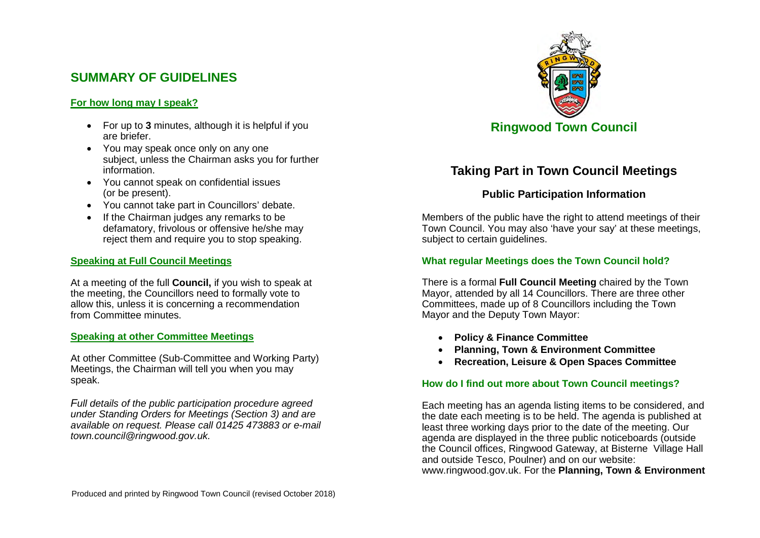# **SUMMARY OF GUIDELINES**

## **For how long may I speak?**

- For up to **3** minutes, although it is helpful if you are briefer.
- You may speak once only on any one subject, unless the Chairman asks you for further information.
- You cannot speak on confidential issues (or be present).
- You cannot take part in Councillors' debate.
- If the Chairman judges any remarks to be defamatory, frivolous or offensive he/she may reject them and require you to stop speaking.

### **Speaking at Full Council Meetings**

At a meeting of the full **Council,** if you wish to speak at the meeting, the Councillors need to formally vote to allow this, unless it is concerning a recommendation from Committee minutes.

#### **Speaking at other Committee Meetings**

At other Committee (Sub-Committee and Working Party) Meetings, the Chairman will tell you when you may speak.

*Full details of the public participation procedure agreed under Standing Orders for Meetings (Section 3) and are available on request. Please call 01425 473883 or e-mail town.council@ringwood.gov.uk.* 



# **Taking Part in Town Council Meetings**

## **Public Participation Information**

Members of the public have the right to attend meetings of their Town Council. You may also 'have your say' at these meetings, subject to certain quidelines.

### **What regular Meetings does the Town Council hold?**

There is a formal **Full Council Meeting** chaired by the Town Mayor, attended by all 14 Councillors. There are three other Committees, made up of 8 Councillors including the Town Mayor and the Deputy Town Mayor:

- **Policy & Finance Committee**
- **Planning, Town & Environment Committee**
- **Recreation, Leisure & Open Spaces Committee**

#### **How do I find out more about Town Council meetings?**

Each meeting has an agenda listing items to be considered, and the date each meeting is to be held. The agenda is published at least three working days prior to the date of the meeting. Our agenda are displayed in the three public noticeboards (outside the Council offices, Ringwood Gateway, at Bisterne Village Hall and outside Tesco, Poulner) and on our website: www.ringwood.gov.uk. For the **Planning, Town & Environment**